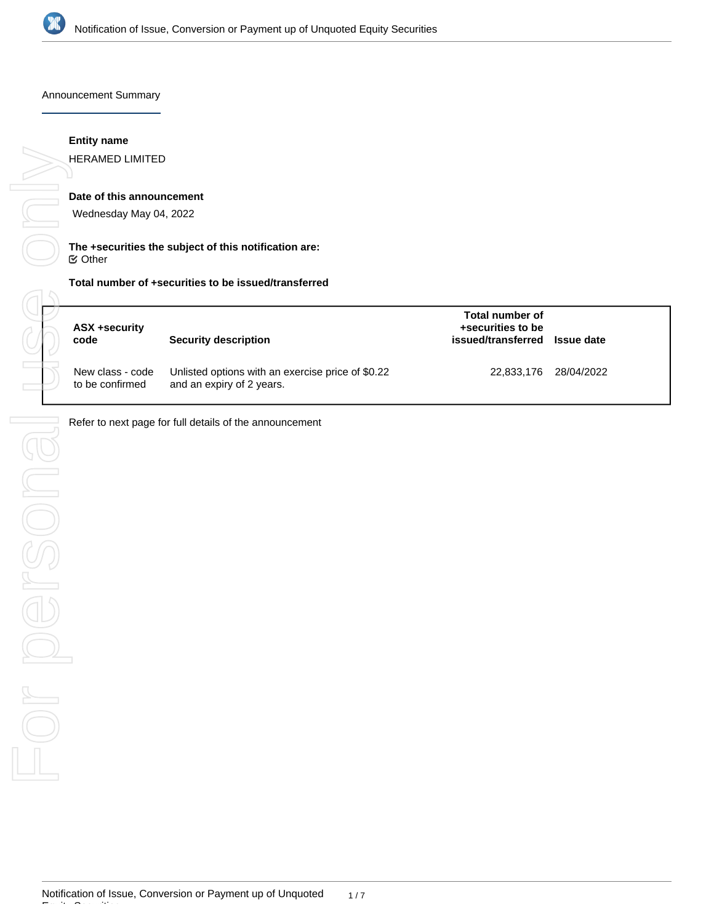

Announcement Summary

## **Entity name**

HERAMED LIMITED

# **Date of this announcement**

Wednesday May 04, 2022

## **The +securities the subject of this notification are:** Other

| ASX +security<br>code               | <b>Security description</b>                                                    | Total number of<br>+securities to be<br>issued/transferred | <b>Issue date</b> |
|-------------------------------------|--------------------------------------------------------------------------------|------------------------------------------------------------|-------------------|
| New class - code<br>to be confirmed | Unlisted options with an exercise price of \$0.22<br>and an expiry of 2 years. | 22,833,176 28/04/2022                                      |                   |

Refer to next page for full details of the announcement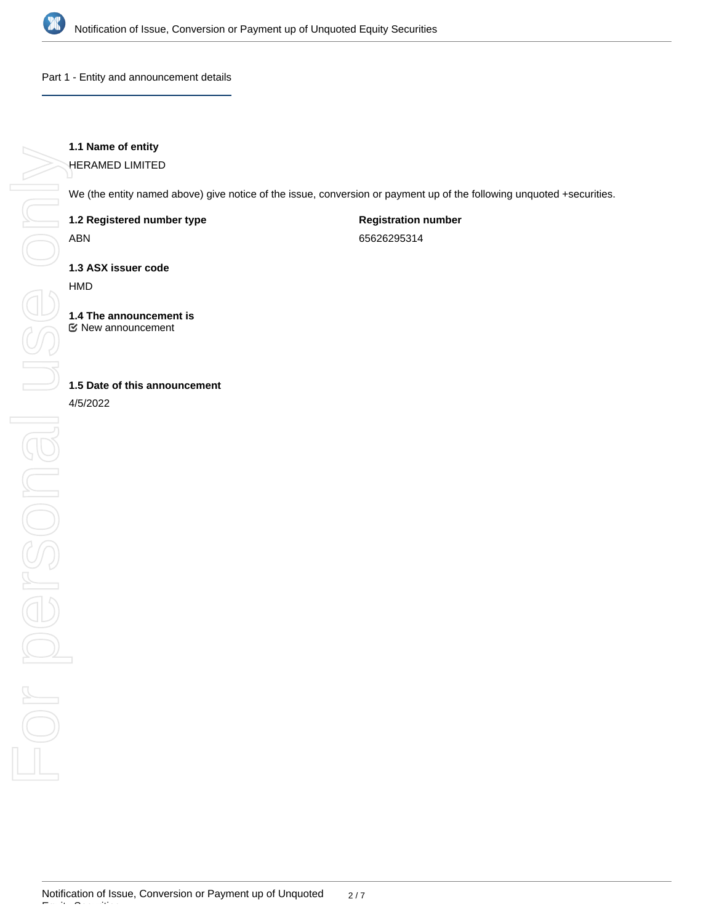

Part 1 - Entity and announcement details

# **1.1 Name of entity**

HERAMED LIMITED

We (the entity named above) give notice of the issue, conversion or payment up of the following unquoted +securities.

**1.2 Registered number type**

ABN

**Registration number**

65626295314

**1.3 ASX issuer code**

HMD

**1.4 The announcement is** New announcement

**1.5 Date of this announcement**

4/5/2022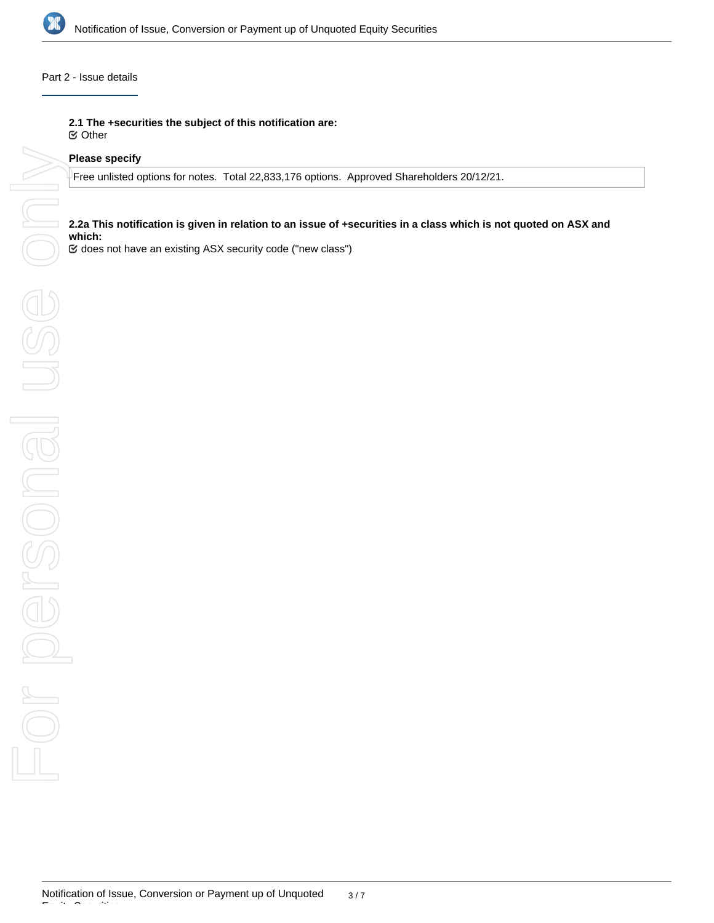

# Part 2 - Issue details

**2.1 The +securities the subject of this notification are:**

Other

## **Please specify**

Free unlisted options for notes. Total 22,833,176 options. Approved Shareholders 20/12/21.

# **2.2a This notification is given in relation to an issue of +securities in a class which is not quoted on ASX and which:**

does not have an existing ASX security code ("new class")

Equity Securities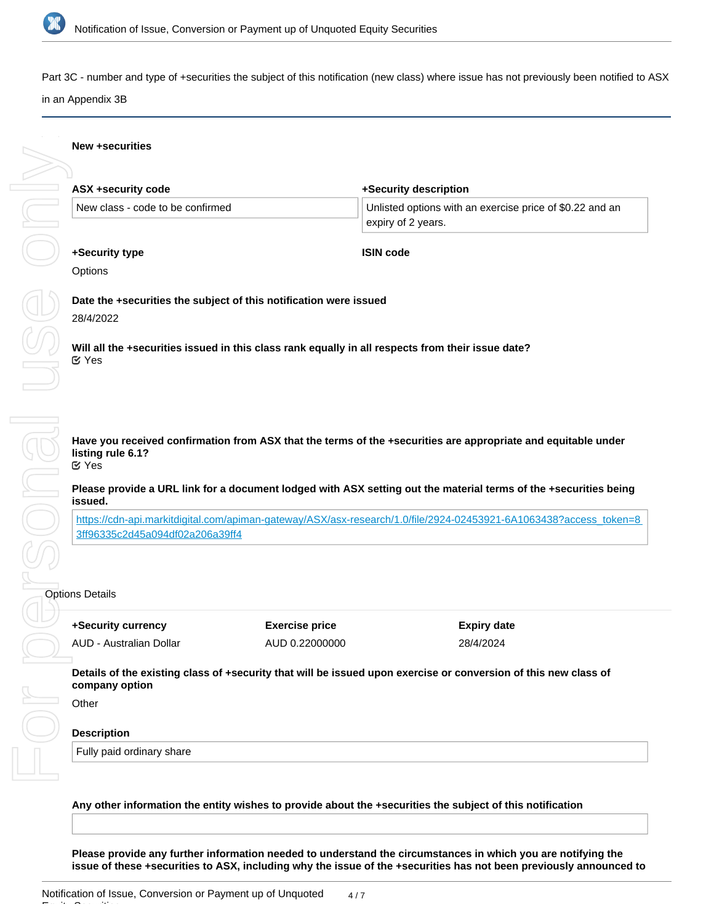

Part 3C - number and type of +securities the subject of this notification (new class) where issue has not previously been notified to ASX in an Appendix 3B

# **New +securities**

| ASX +security code               | +Security description                                    |
|----------------------------------|----------------------------------------------------------|
| New class - code to be confirmed | Unlisted options with an exercise price of \$0.22 and an |
|                                  | expiry of 2 years.                                       |
| +Security type                   | <b>ISIN code</b>                                         |

**Options** 

# **Date the +securities the subject of this notification were issued**

### 28/4/2022

**Will all the +securities issued in this class rank equally in all respects from their issue date?** Yes

**Have you received confirmation from ASX that the terms of the +securities are appropriate and equitable under listing rule 6.1?** Yes

**Please provide a URL link for a document lodged with ASX setting out the material terms of the +securities being issued.**

[https://cdn-api.markitdigital.com/apiman-gateway/ASX/asx-research/1.0/file/2924-02453921-6A1063438?access\\_token=8](https://cdn-api.markitdigital.com/apiman-gateway/ASX/asx-research/1.0/file/2924-02453921-6A1063438?access_token=83ff96335c2d45a094df02a206a39ff4) [3ff96335c2d45a094df02a206a39ff4](https://cdn-api.markitdigital.com/apiman-gateway/ASX/asx-research/1.0/file/2924-02453921-6A1063438?access_token=83ff96335c2d45a094df02a206a39ff4)

**+Security currency** AUD - Australian Dollar **Exercise price** AUD 0.22000000 **Expiry date** 28/4/2024

**Details of the existing class of +security that will be issued upon exercise or conversion of this new class of company option**

**Other** 

### **Description**

Fully paid ordinary share

**the market in an Appendix 3B**

## **Any other information the entity wishes to provide about the +securities the subject of this notification**

**Please provide any further information needed to understand the circumstances in which you are notifying the issue of these +securities to ASX, including why the issue of the +securities has not been previously announced to**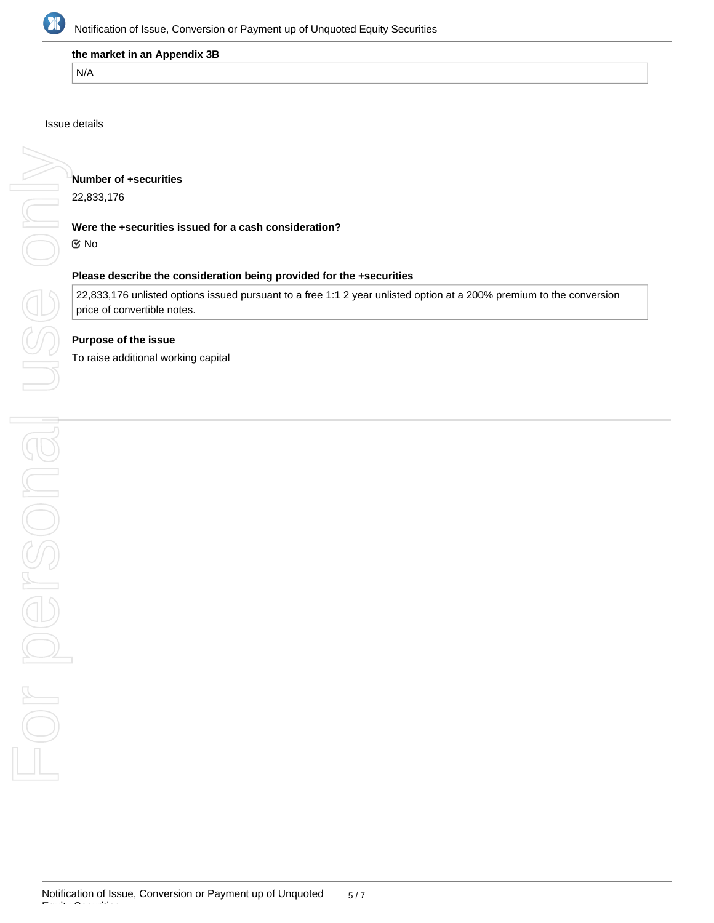

### **the market in an Appendix 3B**

N/A

## Issue details

**Number of +securities**

22,833,176

## **Were the +securities issued for a cash consideration?**

No

# **Please describe the consideration being provided for the +securities**

22,833,176 unlisted options issued pursuant to a free 1:1 2 year unlisted option at a 200% premium to the conversion price of convertible notes.

# **Purpose of the issue**

To raise additional working capital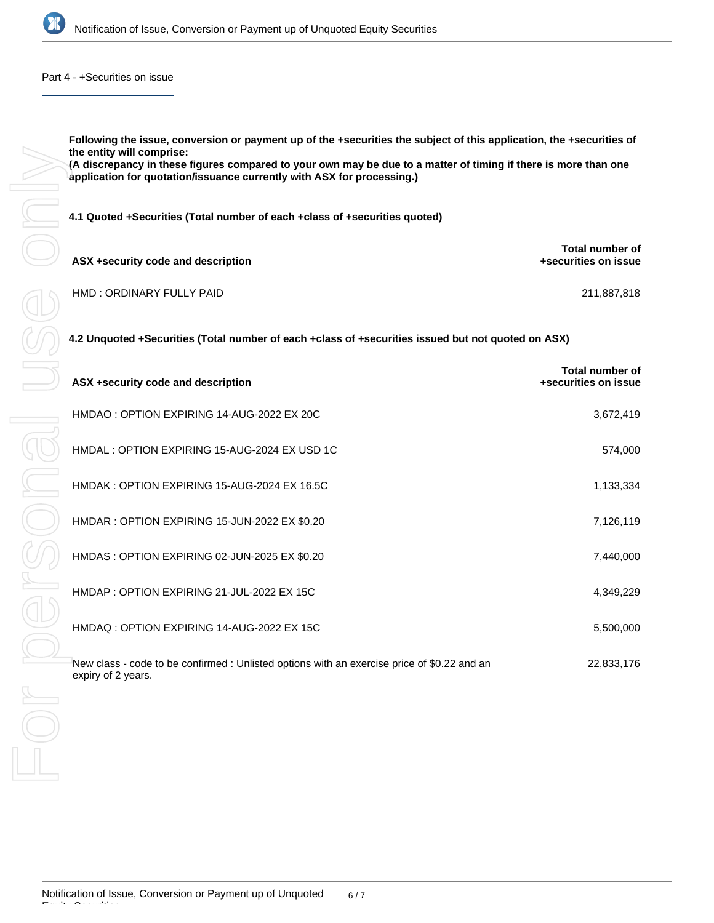

### Part 4 - +Securities on issue

**Following the issue, conversion or payment up of the +securities the subject of this application, the +securities of the entity will comprise: (A discrepancy in these figures compared to your own may be due to a matter of timing if there is more than one application for quotation/issuance currently with ASX for processing.) 4.1 Quoted +Securities (Total number of each +class of +securities quoted) ASX +security code and description Total number of +securities on issue**

| HMD: ORDINARY FULLY PAID | 211,887,818 |
|--------------------------|-------------|
|                          |             |

**4.2 Unquoted +Securities (Total number of each +class of +securities issued but not quoted on ASX)**

| ASX +security code and description                                                                                | Total number of<br>+securities on issue |
|-------------------------------------------------------------------------------------------------------------------|-----------------------------------------|
| HMDAO: OPTION EXPIRING 14-AUG-2022 EX 20C                                                                         | 3,672,419                               |
| HMDAL: OPTION EXPIRING 15-AUG-2024 EX USD 1C                                                                      | 574,000                                 |
| HMDAK: OPTION EXPIRING 15-AUG-2024 EX 16.5C                                                                       | 1,133,334                               |
| HMDAR: OPTION EXPIRING 15-JUN-2022 EX \$0.20                                                                      | 7,126,119                               |
| HMDAS: OPTION EXPIRING 02-JUN-2025 EX \$0.20                                                                      | 7,440,000                               |
| HMDAP: OPTION EXPIRING 21-JUL-2022 EX 15C                                                                         | 4,349,229                               |
| HMDAQ: OPTION EXPIRING 14-AUG-2022 EX 15C                                                                         | 5,500,000                               |
| New class - code to be confirmed : Unlisted options with an exercise price of \$0.22 and an<br>expiry of 2 years. | 22,833,176                              |

Equity Securities